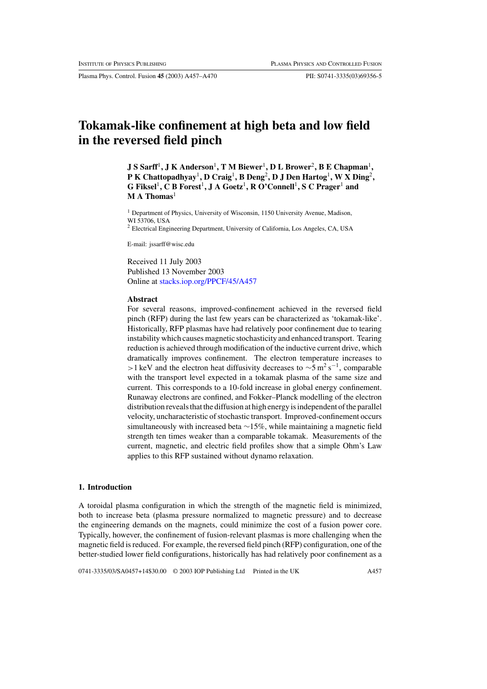Plasma Phys. Control. Fusion **45** (2003) A457–A470 PII: S0741-3335(03)69356-5

# **Tokamak-like confinement at high beta and low field in the reversed field pinch**

**J S Sarff**1**, J K Anderson**1**, T M Biewer**1**, D L Brower**2**, B E Chapman**1**, P K Chattopadhyay**1**, D Craig**1**, B Deng**2**, D J Den Hartog**1**, W X Ding**2**, G Fiksel**1**, C B Forest**1**, J A Goetz**1**, R O'Connell**1**, S C Prager**<sup>1</sup> **and M A Thomas**<sup>1</sup>

<sup>1</sup> Department of Physics, University of Wisconsin, 1150 University Avenue, Madison, WI 53706, USA

<sup>2</sup> Electrical Engineering Department, University of California, Los Angeles, CA, USA

E-mail: jssarff@wisc.edu

Received 11 July 2003 Published 13 November 2003 Online at [stacks.iop.org/PPCF/45/A457](http://stacks.iop.org/pp/45/A457)

### **Abstract**

For several reasons, improved-confinement achieved in the reversed field pinch (RFP) during the last few years can be characterized as 'tokamak-like'. Historically, RFP plasmas have had relatively poor confinement due to tearing instability which causes magnetic stochasticity and enhanced transport. Tearing reduction is achieved through modification of the inductive current drive, which dramatically improves confinement. The electron temperature increases to >1 keV and the electron heat diffusivity decreases to  $\sim$ 5 m<sup>2</sup> s<sup>−1</sup>, comparable with the transport level expected in a tokamak plasma of the same size and current. This corresponds to a 10-fold increase in global energy confinement. Runaway electrons are confined, and Fokker–Planck modelling of the electron distribution reveals that the diffusion at high energy is independent of the parallel velocity, uncharacteristic of stochastic transport. Improved-confinement occurs simultaneously with increased beta ∼15%, while maintaining a magnetic field strength ten times weaker than a comparable tokamak. Measurements of the current, magnetic, and electric field profiles show that a simple Ohm's Law applies to this RFP sustained without dynamo relaxation.

# **1. Introduction**

A toroidal plasma configuration in which the strength of the magnetic field is minimized, both to increase beta (plasma pressure normalized to magnetic pressure) and to decrease the engineering demands on the magnets, could minimize the cost of a fusion power core. Typically, however, the confinement of fusion-relevant plasmas is more challenging when the magnetic field is reduced. For example, the reversed field pinch (RFP) configuration, one of the better-studied lower field configurations, historically has had relatively poor confinement as a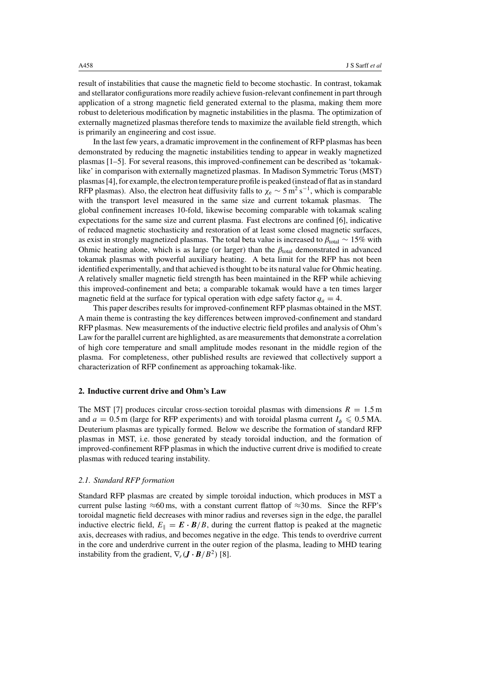result of instabilities that cause the magnetic field to become stochastic. In contrast, tokamak and stellarator configurations more readily achieve fusion-relevant confinement in part through application of a strong magnetic field generated external to the plasma, making them more robust to deleterious modification by magnetic instabilities in the plasma. The optimization of externally magnetized plasmas therefore tends to maximize the available field strength, which is primarily an engineering and cost issue.

In the last few years, a dramatic improvement in the confinement of RFP plasmas has been demonstrated by reducing the magnetic instabilities tending to appear in weakly magnetized plasmas [1–5]. For several reasons, this improved-confinement can be described as 'tokamaklike' in comparison with externally magnetized plasmas. In Madison Symmetric Torus (MST) plasmas [4], for example, the electron temperature profile is peaked (instead of flat as in standard RFP plasmas). Also, the electron heat diffusivity falls to  $\chi_e \sim 5 \text{ m}^2 \text{ s}^{-1}$ , which is comparable with the transport level measured in the same size and current tokamak plasmas. The global confinement increases 10-fold, likewise becoming comparable with tokamak scaling expectations for the same size and current plasma. Fast electrons are confined [6], indicative of reduced magnetic stochasticity and restoration of at least some closed magnetic surfaces, as exist in strongly magnetized plasmas. The total beta value is increased to *β*total ∼ 15% with Ohmic heating alone, which is as large (or larger) than the  $\beta_{\text{total}}$  demonstrated in advanced tokamak plasmas with powerful auxiliary heating. A beta limit for the RFP has not been identified experimentally, and that achieved is thought to be its natural value for Ohmic heating. A relatively smaller magnetic field strength has been maintained in the RFP while achieving this improved-confinement and beta; a comparable tokamak would have a ten times larger magnetic field at the surface for typical operation with edge safety factor  $q_a = 4$ .

This paper describes results for improved-confinement RFP plasmas obtained in the MST. A main theme is contrasting the key differences between improved-confinement and standard RFP plasmas. New measurements of the inductive electric field profiles and analysis of Ohm's Law for the parallel current are highlighted, as are measurements that demonstrate a correlation of high core temperature and small amplitude modes resonant in the middle region of the plasma. For completeness, other published results are reviewed that collectively support a characterization of RFP confinement as approaching tokamak-like.

# **2. Inductive current drive and Ohm's Law**

The MST [7] produces circular cross-section toroidal plasmas with dimensions  $R = 1.5$  m and  $a = 0.5$  m (large for RFP experiments) and with toroidal plasma current  $I_{\phi} \leq 0.5$  MA. Deuterium plasmas are typically formed. Below we describe the formation of standard RFP plasmas in MST, i.e. those generated by steady toroidal induction, and the formation of improved-confinement RFP plasmas in which the inductive current drive is modified to create plasmas with reduced tearing instability.

### *2.1. Standard RFP formation*

Standard RFP plasmas are created by simple toroidal induction, which produces in MST a current pulse lasting  $\approx 60$  ms, with a constant current flattop of  $\approx 30$  ms. Since the RFP's toroidal magnetic field decreases with minor radius and reverses sign in the edge, the parallel inductive electric field,  $E_{\parallel} = \mathbf{E} \cdot \mathbf{B}/B$ , during the current flattop is peaked at the magnetic axis, decreases with radius, and becomes negative in the edge. This tends to overdrive current in the core and underdrive current in the outer region of the plasma, leading to MHD tearing instability from the gradient,  $\nabla_r(\mathbf{J} \cdot \mathbf{B}/B^2)$  [8].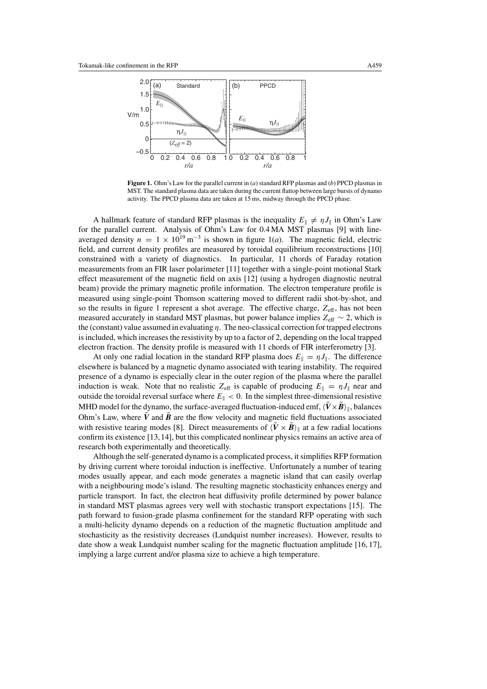

**Figure 1.** Ohm's Law for the parallel current in (*a*) standard RFP plasmas and (*b*) PPCD plasmas in MST. The standard plasma data are taken during the current flattop between large bursts of dynamo activity. The PPCD plasma data are taken at 15 ms, midway through the PPCD phase.

A hallmark feature of standard RFP plasmas is the inequality  $E_{\parallel} \neq \eta J_{\parallel}$  in Ohm's Law for the parallel current. Analysis of Ohm's Law for 0.4 MA MST plasmas [9] with lineaveraged density  $n = 1 \times 10^{19} \text{ m}^{-3}$  is shown in figure 1(*a*). The magnetic field, electric field, and current density profiles are measured by toroidal equilibrium reconstructions [10] constrained with a variety of diagnostics. In particular, 11 chords of Faraday rotation measurements from an FIR laser polarimeter [11] together with a single-point motional Stark effect measurement of the magnetic field on axis [12] (using a hydrogen diagnostic neutral beam) provide the primary magnetic profile information. The electron temperature profile is measured using single-point Thomson scattering moved to different radii shot-by-shot, and so the results in figure 1 represent a shot average. The effective charge, *Z*eff, has not been measured accurately in standard MST plasmas, but power balance implies *Z*eff ∼ 2, which is the (constant) value assumed in evaluating *η*. The neo-classical correction for trapped electrons is included, which increases the resistivity by up to a factor of 2, depending on the local trapped electron fraction. The density profile is measured with 11 chords of FIR interferometry [3].

At only one radial location in the standard RFP plasma does  $E_{\parallel} = \eta J_{\parallel}$ . The difference elsewhere is balanced by a magnetic dynamo associated with tearing instability. The required presence of a dynamo is especially clear in the outer region of the plasma where the parallel induction is weak. Note that no realistic  $Z_{\text{eff}}$  is capable of producing  $E_{\parallel} = \eta J_{\parallel}$  near and outside the toroidal reversal surface where  $E_{\parallel}$  < 0. In the simplest three-dimensional resistive MHD model for the dynamo, the surface-averaged fluctuation-induced emf,  $\langle \hat{V} \times \hat{B} \rangle_{\parallel}$ , balances Ohm's Law, where  $\tilde{V}$  and  $\tilde{B}$  are the flow velocity and magnetic field fluctuations associated with resistive tearing modes [8]. Direct measurements of  $\langle \mathbf{V} \times \mathbf{B} \rangle_{\parallel}$  at a few radial locations confirm its existence [13,14], but this complicated nonlinear physics remains an active area of research both experimentally and theoretically.

Although the self-generated dynamo is a complicated process, it simplifies RFP formation by driving current where toroidal induction is ineffective. Unfortunately a number of tearing modes usually appear, and each mode generates a magnetic island that can easily overlap with a neighbouring mode's island. The resulting magnetic stochasticity enhances energy and particle transport. In fact, the electron heat diffusivity profile determined by power balance in standard MST plasmas agrees very well with stochastic transport expectations [15]. The path forward to fusion-grade plasma confinement for the standard RFP operating with such a multi-helicity dynamo depends on a reduction of the magnetic fluctuation amplitude and stochasticity as the resistivity decreases (Lundquist number increases). However, results to date show a weak Lundquist number scaling for the magnetic fluctuation amplitude [16, 17], implying a large current and/or plasma size to achieve a high temperature.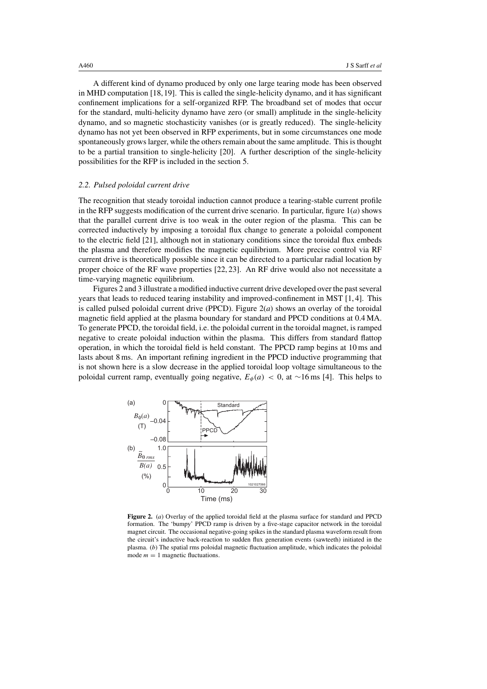A different kind of dynamo produced by only one large tearing mode has been observed in MHD computation [18,19]. This is called the single-helicity dynamo, and it has significant confinement implications for a self-organized RFP. The broadband set of modes that occur for the standard, multi-helicity dynamo have zero (or small) amplitude in the single-helicity dynamo, and so magnetic stochasticity vanishes (or is greatly reduced). The single-helicity dynamo has not yet been observed in RFP experiments, but in some circumstances one mode spontaneously grows larger, while the others remain about the same amplitude. This is thought to be a partial transition to single-helicity [20]. A further description of the single-helicity possibilities for the RFP is included in the section 5.

# *2.2. Pulsed poloidal current drive*

The recognition that steady toroidal induction cannot produce a tearing-stable current profile in the RFP suggests modification of the current drive scenario. In particular, figure  $1(a)$  shows that the parallel current drive is too weak in the outer region of the plasma. This can be corrected inductively by imposing a toroidal flux change to generate a poloidal component to the electric field [21], although not in stationary conditions since the toroidal flux embeds the plasma and therefore modifies the magnetic equilibrium. More precise control via RF current drive is theoretically possible since it can be directed to a particular radial location by proper choice of the RF wave properties [22, 23]. An RF drive would also not necessitate a time-varying magnetic equilibrium.

Figures 2 and 3 illustrate a modified inductive current drive developed over the past several years that leads to reduced tearing instability and improved-confinement in MST [1, 4]. This is called pulsed poloidal current drive (PPCD). Figure  $2(a)$  shows an overlay of the toroidal magnetic field applied at the plasma boundary for standard and PPCD conditions at 0.4 MA. To generate PPCD, the toroidal field, i.e. the poloidal current in the toroidal magnet, is ramped negative to create poloidal induction within the plasma. This differs from standard flattop operation, in which the toroidal field is held constant. The PPCD ramp begins at 10 ms and lasts about 8 ms. An important refining ingredient in the PPCD inductive programming that is not shown here is a slow decrease in the applied toroidal loop voltage simultaneous to the poloidal current ramp, eventually going negative,  $E_{\phi}(a) < 0$ , at ~16 ms [4]. This helps to



**Figure 2.** (*a*) Overlay of the applied toroidal field at the plasma surface for standard and PPCD formation. The 'bumpy' PPCD ramp is driven by a five-stage capacitor network in the toroidal magnet circuit. The occasional negative-going spikes in the standard plasma waveform result from the circuit's inductive back-reaction to sudden flux generation events (sawteeth) initiated in the plasma. (*b*) The spatial rms poloidal magnetic fluctuation amplitude, which indicates the poloidal mode  $m = 1$  magnetic fluctuations.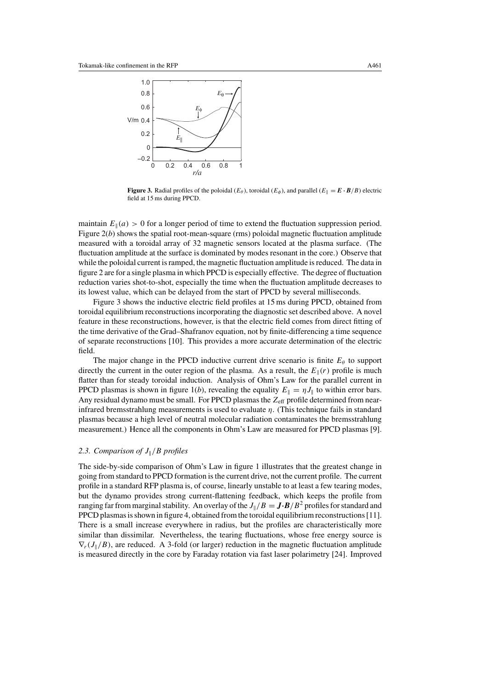

**Figure 3.** Radial profiles of the poloidal ( $E_\theta$ ), toroidal ( $E_\phi$ ), and parallel ( $E_\parallel = \mathbf{E} \cdot \mathbf{B}/B$ ) electric field at 15 ms during PPCD.

maintain  $E_{\parallel}(a) > 0$  for a longer period of time to extend the fluctuation suppression period. Figure  $2(b)$  shows the spatial root-mean-square (rms) poloidal magnetic fluctuation amplitude measured with a toroidal array of 32 magnetic sensors located at the plasma surface. (The fluctuation amplitude at the surface is dominated by modes resonant in the core.) Observe that while the poloidal current is ramped, the magnetic fluctuation amplitude is reduced. The data in figure 2 are for a single plasma in which PPCD is especially effective. The degree of fluctuation reduction varies shot-to-shot, especially the time when the fluctuation amplitude decreases to its lowest value, which can be delayed from the start of PPCD by several milliseconds.

Figure 3 shows the inductive electric field profiles at 15 ms during PPCD, obtained from toroidal equilibrium reconstructions incorporating the diagnostic set described above. A novel feature in these reconstructions, however, is that the electric field comes from direct fitting of the time derivative of the Grad–Shafranov equation, not by finite-differencing a time sequence of separate reconstructions [10]. This provides a more accurate determination of the electric field.

The major change in the PPCD inductive current drive scenario is finite  $E_\theta$  to support directly the current in the outer region of the plasma. As a result, the  $E_{\parallel}(r)$  profile is much flatter than for steady toroidal induction. Analysis of Ohm's Law for the parallel current in PPCD plasmas is shown in figure 1(*b*), revealing the equality  $E_{\parallel} = \eta J_{\parallel}$  to within error bars. Any residual dynamo must be small. For PPCD plasmas the Z<sub>eff</sub> profile determined from nearinfrared bremsstrahlung measurements is used to evaluate *η*. (This technique fails in standard plasmas because a high level of neutral molecular radiation contaminates the bremsstrahlung measurement.) Hence all the components in Ohm's Law are measured for PPCD plasmas [9].

# 2.3. Comparison of  $J_{\parallel}/B$  profiles

The side-by-side comparison of Ohm's Law in figure 1 illustrates that the greatest change in going from standard to PPCD formation is the current drive, not the current profile. The current profile in a standard RFP plasma is, of course, linearly unstable to at least a few tearing modes, but the dynamo provides strong current-flattening feedback, which keeps the profile from ranging far from marginal stability. An overlay of the  $J_{\parallel}/B = J \cdot B/B^2$  profiles for standard and PPCD plasmas is shown in figure 4, obtained from the toroidal equilibrium reconstructions [11]. There is a small increase everywhere in radius, but the profiles are characteristically more similar than dissimilar. Nevertheless, the tearing fluctuations, whose free energy source is  $\nabla_r(J_\parallel/B)$ , are reduced. A 3-fold (or larger) reduction in the magnetic fluctuation amplitude is measured directly in the core by Faraday rotation via fast laser polarimetry [24]. Improved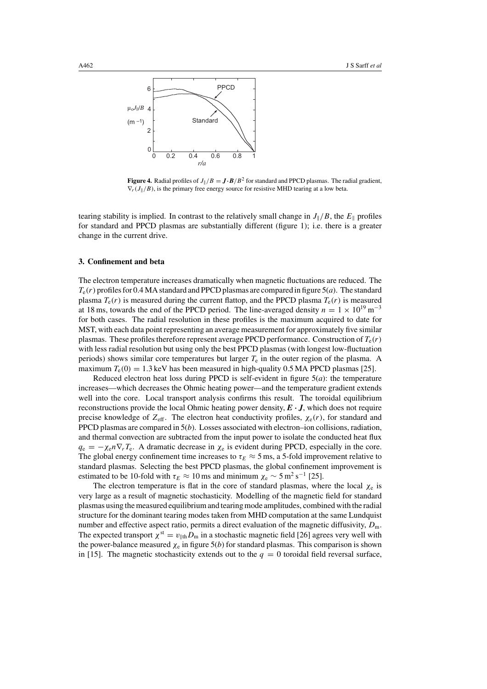

**Figure 4.** Radial profiles of  $J_{\parallel}/B = J \cdot B/B^2$  for standard and PPCD plasmas. The radial gradient,  $\nabla_r(J_{\parallel}/B)$ , is the primary free energy source for resistive MHD tearing at a low beta.

tearing stability is implied. In contrast to the relatively small change in  $J_{\parallel}/B$ , the  $E_{\parallel}$  profiles for standard and PPCD plasmas are substantially different (figure 1); i.e. there is a greater change in the current drive.

# **3. Confinement and beta**

The electron temperature increases dramatically when magnetic fluctuations are reduced. The *T*e*(r)* profiles for 0.4 MA standard and PPCD plasmas are compared in figure 5(*a*). The standard plasma  $T_e(r)$  is measured during the current flattop, and the PPCD plasma  $T_e(r)$  is measured at 18 ms, towards the end of the PPCD period. The line-averaged density  $n = 1 \times 10^{19}$  m<sup>-3</sup> for both cases. The radial resolution in these profiles is the maximum acquired to date for MST, with each data point representing an average measurement for approximately five similar plasmas. These profiles therefore represent average PPCD performance. Construction of *T*e*(r)* with less radial resolution but using only the best PPCD plasmas (with longest low-fluctuation periods) shows similar core temperatures but larger  $T<sub>e</sub>$  in the outer region of the plasma. A maximum  $T_e(0) = 1.3$  keV has been measured in high-quality 0.5 MA PPCD plasmas [25].

Reduced electron heat loss during PPCD is self-evident in figure 5(*a*): the temperature increases—which decreases the Ohmic heating power—and the temperature gradient extends well into the core. Local transport analysis confirms this result. The toroidal equilibrium reconstructions provide the local Ohmic heating power density, *E · J*, which does not require precise knowledge of  $Z_{\text{eff}}$ . The electron heat conductivity profiles,  $\chi_{e}(r)$ , for standard and PPCD plasmas are compared in 5(*b*). Losses associated with electron–ion collisions, radiation, and thermal convection are subtracted from the input power to isolate the conducted heat flux  $q_e = -\chi_e n \nabla_r T_e$ . A dramatic decrease in  $\chi_e$  is evident during PPCD, especially in the core. The global energy confinement time increases to  $\tau_E \approx 5$  ms, a 5-fold improvement relative to standard plasmas. Selecting the best PPCD plasmas, the global confinement improvement is estimated to be 10-fold with  $\tau_E \approx 10$  ms and minimum  $\chi_e \sim 5$  m<sup>2</sup> s<sup>-1</sup> [25].

The electron temperature is flat in the core of standard plasmas, where the local  $\chi_e$  is very large as a result of magnetic stochasticity. Modelling of the magnetic field for standard plasmas using the measured equilibrium and tearing mode amplitudes, combined with the radial structure for the dominant tearing modes taken from MHD computation at the same Lundquist number and effective aspect ratio, permits a direct evaluation of the magnetic diffusivity,  $D_m$ . The expected transport  $\chi^{st} = v_{\parallel th} D_m$  in a stochastic magnetic field [26] agrees very well with the power-balance measured  $\chi_e$  in figure 5(*b*) for standard plasmas. This comparison is shown in [15]. The magnetic stochasticity extends out to the  $q = 0$  toroidal field reversal surface,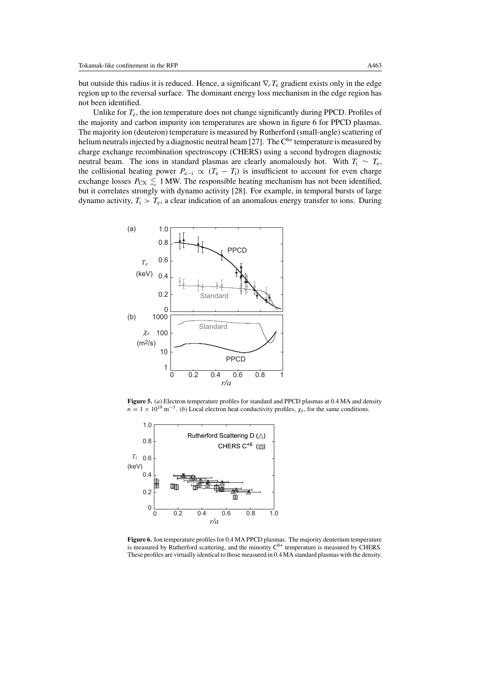but outside this radius it is reduced. Hence, a significant ∇*rT*<sup>e</sup> gradient exists only in the edge region up to the reversal surface. The dominant energy loss mechanism in the edge region has not been identified.

Unlike for *T*e, the ion temperature does not change significantly during PPCD. Profiles of the majority and carbon impurity ion temperatures are shown in figure 6 for PPCD plasmas. The majority ion (deuteron) temperature is measured by Rutherford (small-angle) scattering of helium neutrals injected by a diagnostic neutral beam [27]. The  $C^{6+}$  temperature is measured by charge exchange recombination spectroscopy (CHERS) using a second hydrogen diagnostic neutral beam. The ions in standard plasmas are clearly anomalously hot. With  $T_i \sim T_e$ , the collisional heating power  $P_{e-i} \propto (T_e - T_i)$  is insufficient to account for even charge exchange losses  $P_{CX} \le 1$  MW. The responsible heating mechanism has not been identified, but it correlates strongly with dynamo activity [28]. For example, in temporal bursts of large dynamo activity,  $T_i > T_e$ , a clear indication of an anomalous energy transfer to ions. During



**Figure 5.** (*a*) Electron temperature profiles for standard and PPCD plasmas at 0.4 MA and density  $n = 1 \times 10^{19}$  m<sup>-3</sup>. (*b*) Local electron heat conductivity profiles,  $\chi_e$ , for the same conditions.



**Figure 6.** Ion temperature profiles for 0.4 MA PPCD plasmas. The majority deuterium temperature is measured by Rutherford scattering, and the minority  $C^{6+}$  temperature is measured by CHERS. These profiles are virtually identical to those measured in 0.4 MA standard plasmas with the density.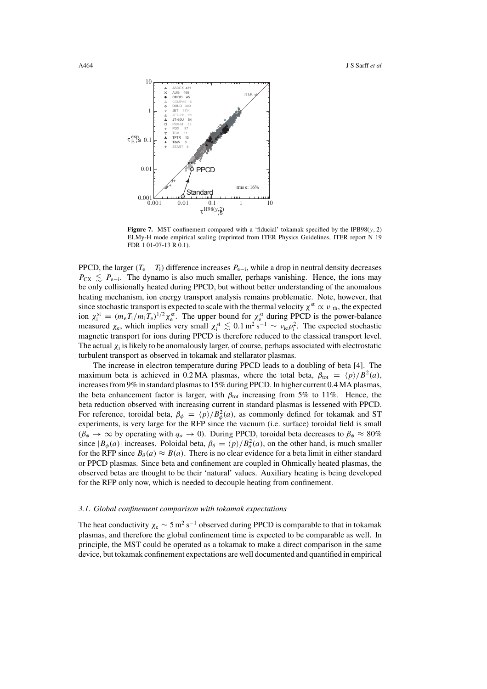

**Figure 7.** MST confinement compared with a 'fiducial' tokamak specified by the IPB98( $y$ , 2) ELMy-H mode empirical scaling (reprinted from ITER Physics Guidelines, ITER report N 19 FDR 1 01-07-13 R 0.1).

PPCD, the larger  $(T_e - T_i)$  difference increases  $P_{e-i}$ , while a drop in neutral density decreases  $P_{\text{CX}} \leq P_{\text{e}-i}$ . The dynamo is also much smaller, perhaps vanishing. Hence, the ions may be only collisionally heated during PPCD, but without better understanding of the anomalous heating mechanism, ion energy transport analysis remains problematic. Note, however, that since stochastic transport is expected to scale with the thermal velocity  $\chi^{\text{st}} \propto v_{\parallel \text{th}}$ , the expected ion  $\chi_i^{\text{st}} = (m_e T_i/m_i T_e)^{1/2} \chi_e^{\text{st}}$ . The upper bound for  $\chi_e^{\text{st}}$  during PPCD is the power-balance measured  $\chi_e$ , which implies very small  $\chi_i^{\text{st}} \lesssim 0.1 \text{ m}^2 \text{ s}^{-1} \sim \nu_{ie} \rho_i^2$ . The expected stochastic magnetic transport for ions during PPCD is therefore reduced to the classical transport level. The actual *χ*<sup>i</sup> is likely to be anomalously larger, of course, perhaps associated with electrostatic turbulent transport as observed in tokamak and stellarator plasmas.

The increase in electron temperature during PPCD leads to a doubling of beta [4]. The maximum beta is achieved in 0.2 MA plasmas, where the total beta,  $\beta_{\text{tot}} = \langle p \rangle / B^2(a)$ , increases from 9% in standard plasmas to 15% during PPCD. In higher current 0.4 MA plasmas, the beta enhancement factor is larger, with  $β_{\text{tot}}$  increasing from 5% to 11%. Hence, the beta reduction observed with increasing current in standard plasmas is lessened with PPCD. For reference, toroidal beta,  $\beta_{\phi} = \langle p \rangle / B_{\phi}^2(a)$ , as commonly defined for tokamak and ST experiments, is very large for the RFP since the vacuum (i.e. surface) toroidal field is small  $(\beta_{\phi} \rightarrow \infty$  by operating with  $q_a \rightarrow 0$ ). During PPCD, toroidal beta decreases to  $\beta_{\phi} \approx 80\%$ since  $|B_{\phi}(a)|$  increases. Poloidal beta,  $\beta_{\theta} = \langle p \rangle / B_{\theta}^2(a)$ , on the other hand, is much smaller for the RFP since  $B_\theta(a) \approx B(a)$ . There is no clear evidence for a beta limit in either standard or PPCD plasmas. Since beta and confinement are coupled in Ohmically heated plasmas, the observed betas are thought to be their 'natural' values. Auxiliary heating is being developed for the RFP only now, which is needed to decouple heating from confinement.

#### *3.1. Global confinement comparison with tokamak expectations*

The heat conductivity  $\chi_e \sim 5 \,\mathrm{m^2 \, s^{-1}}$  observed during PPCD is comparable to that in tokamak plasmas, and therefore the global confinement time is expected to be comparable as well. In principle, the MST could be operated as a tokamak to make a direct comparison in the same device, but tokamak confinement expectations are well documented and quantified in empirical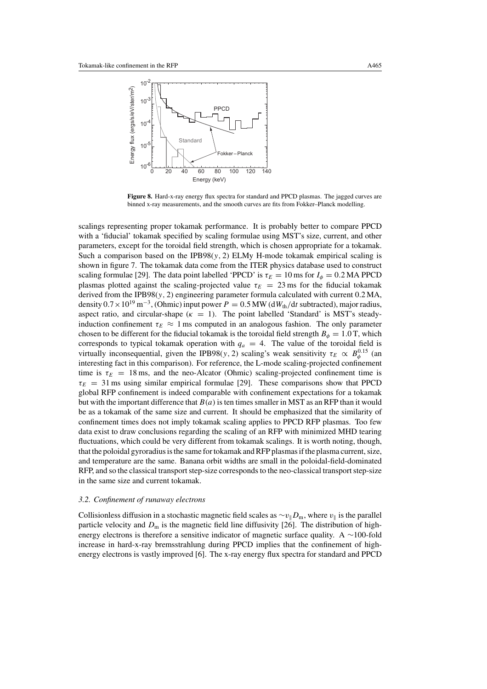

**Figure 8.** Hard-x-ray energy flux spectra for standard and PPCD plasmas. The jagged curves are binned x-ray measurements, and the smooth curves are fits from Fokker–Planck modelling.

scalings representing proper tokamak performance. It is probably better to compare PPCD with a 'fiducial' tokamak specified by scaling formulae using MST's size, current, and other parameters, except for the toroidal field strength, which is chosen appropriate for a tokamak. Such a comparison based on the IPB98( $y$ , 2) ELMy H-mode tokamak empirical scaling is shown in figure 7. The tokamak data come from the ITER physics database used to construct scaling formulae [29]. The data point labelled 'PPCD' is  $\tau_E = 10$  ms for  $I_\phi = 0.2$  MA PPCD plasmas plotted against the scaling-projected value  $\tau_E = 23$  ms for the fiducial tokamak derived from the IPB98(*y,* 2) engineering parameter formula calculated with current 0.2 MA, density  $0.7 \times 10^{19}$  m<sup>-3</sup>, (Ohmic) input power  $P = 0.5$  MW (d $W_{th}/dt$  subtracted), major radius, aspect ratio, and circular-shape ( $\kappa = 1$ ). The point labelled 'Standard' is MST's steadyinduction confinement  $\tau_E \approx 1$  ms computed in an analogous fashion. The only parameter chosen to be different for the fiducial tokamak is the toroidal field strength  $B_{\phi} = 1.0$  T, which corresponds to typical tokamak operation with  $q_a = 4$ . The value of the toroidal field is virtually inconsequential, given the IPB98(*y*, 2) scaling's weak sensitivity  $\tau_E \propto B_\phi^{0.15}$  (and interesting fact in this comparison). For reference, the L-mode scaling-projected confinement time is  $\tau_E = 18$  ms, and the neo-Alcator (Ohmic) scaling-projected confinement time is  $\tau_E = 31$  ms using similar empirical formulae [29]. These comparisons show that PPCD global RFP confinement is indeed comparable with confinement expectations for a tokamak but with the important difference that  $B(a)$  is ten times smaller in MST as an RFP than it would be as a tokamak of the same size and current. It should be emphasized that the similarity of confinement times does not imply tokamak scaling applies to PPCD RFP plasmas. Too few data exist to draw conclusions regarding the scaling of an RFP with minimized MHD tearing fluctuations, which could be very different from tokamak scalings. It is worth noting, though, that the poloidal gyroradius is the same for tokamak and RFP plasmas if the plasma current, size, and temperature are the same. Banana orbit widths are small in the poloidal-field-dominated RFP, and so the classical transport step-size corresponds to the neo-classical transport step-size in the same size and current tokamak.

# *3.2. Confinement of runaway electrons*

Collisionless diffusion in a stochastic magnetic field scales as  $\sim v_{\parallel}D_{\rm m}$ , where  $v_{\parallel}$  is the parallel particle velocity and  $D<sub>m</sub>$  is the magnetic field line diffusivity [26]. The distribution of highenergy electrons is therefore a sensitive indicator of magnetic surface quality. A ∼100-fold increase in hard-x-ray bremsstrahlung during PPCD implies that the confinement of highenergy electrons is vastly improved [6]. The x-ray energy flux spectra for standard and PPCD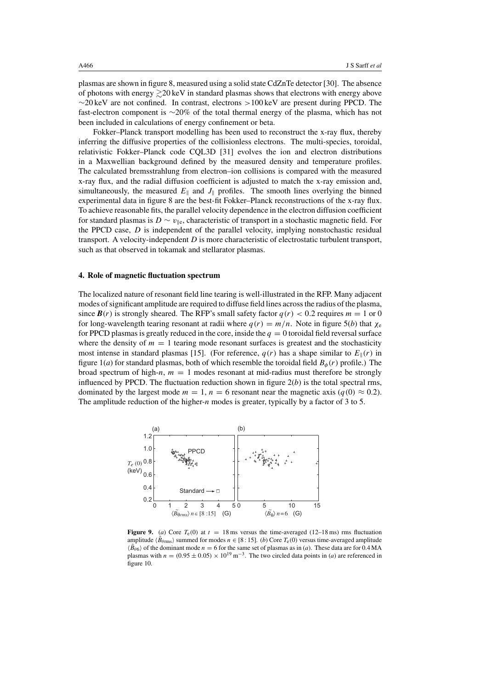plasmas are shown in figure 8, measured using a solid state CdZnTe detector [30]. The absence of photons with energy  $\gtrsim$  20 keV in standard plasmas shows that electrons with energy above ∼20 keV are not confined. In contrast, electrons *>*100 keV are present during PPCD. The fast-electron component is ∼20% of the total thermal energy of the plasma, which has not been included in calculations of energy confinement or beta.

Fokker–Planck transport modelling has been used to reconstruct the x-ray flux, thereby inferring the diffusive properties of the collisionless electrons. The multi-species, toroidal, relativistic Fokker–Planck code CQL3D [31] evolves the ion and electron distributions in a Maxwellian background defined by the measured density and temperature profiles. The calculated bremsstrahlung from electron–ion collisions is compared with the measured x-ray flux, and the radial diffusion coefficient is adjusted to match the x-ray emission and, simultaneously, the measured  $E_{\parallel}$  and  $J_{\parallel}$  profiles. The smooth lines overlying the binned experimental data in figure 8 are the best-fit Fokker–Planck reconstructions of the x-ray flux. To achieve reasonable fits, the parallel velocity dependence in the electron diffusion coefficient for standard plasmas is *D* ∼ *v*<sub>∥e</sub>, characteristic of transport in a stochastic magnetic field. For the PPCD case, *D* is independent of the parallel velocity, implying nonstochastic residual transport. A velocity-independent *D* is more characteristic of electrostatic turbulent transport, such as that observed in tokamak and stellarator plasmas.

#### **4. Role of magnetic fluctuation spectrum**

The localized nature of resonant field line tearing is well-illustrated in the RFP. Many adjacent modes of significant amplitude are required to diffuse field lines across the radius of the plasma, since  $\mathbf{B}(r)$  is strongly sheared. The RFP's small safety factor  $q(r) < 0.2$  requires  $m = 1$  or 0 for long-wavelength tearing resonant at radii where  $q(r) = m/n$ . Note in figure 5(*b*) that  $\chi_e$ for PPCD plasmas is greatly reduced in the core, inside the  $q = 0$  toroidal field reversal surface where the density of  $m = 1$  tearing mode resonant surfaces is greatest and the stochasticity most intense in standard plasmas [15]. (For reference,  $q(r)$  has a shape similar to  $E_{\parallel}(r)$  in figure  $1(a)$  for standard plasmas, both of which resemble the toroidal field  $B_{\phi}(r)$  profile.) The broad spectrum of high-*n*,  $m = 1$  modes resonant at mid-radius must therefore be strongly influenced by PPCD. The fluctuation reduction shown in figure  $2(b)$  is the total spectral rms, dominated by the largest mode  $m = 1$ ,  $n = 6$  resonant near the magnetic axis ( $q(0) \approx 0.2$ ). The amplitude reduction of the higher-*n* modes is greater, typically by a factor of 3 to 5.



**Figure 9.** (*a*) Core  $T_e(0)$  at  $t = 18$  ms versus the time-averaged (12–18 ms) rms fluctuation amplitude  $\langle \tilde{B}_{\theta \text{rms}} \rangle$  summed for modes  $n \in [8:15]$ . (*b*) Core  $T_e(0)$  versus time-averaged amplitude  $\langle \vec{B}_{\theta 6} \rangle$  of the dominant mode  $n = 6$  for the same set of plasmas as in (*a*). These data are for 0.4 MA plasmas with  $n = (0.95 \pm 0.05) \times 10^{19} \text{ m}^{-3}$ . The two circled data points in (*a*) are referenced in figure 10.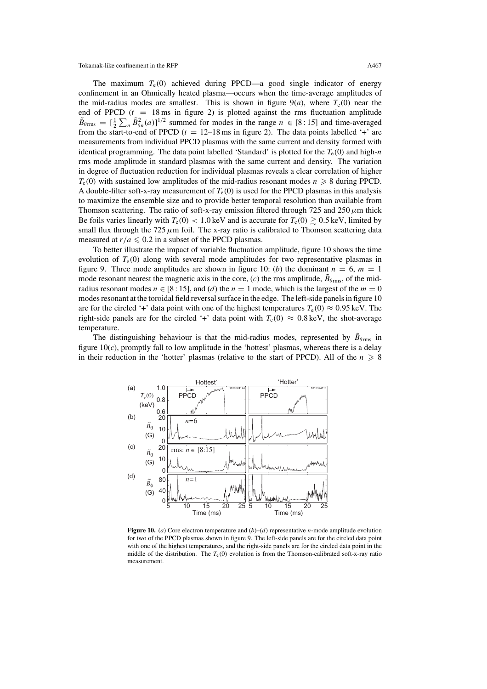The maximum  $T_e(0)$  achieved during PPCD—a good single indicator of energy confinement in an Ohmically heated plasma—occurs when the time-average amplitudes of the mid-radius modes are smallest. This is shown in figure  $9(a)$ , where  $T_e(0)$  near the end of PPCD  $(t = 18 \text{ ms}$  in figure 2) is plotted against the rms fluctuation amplitude  $\tilde{B}_{\theta_{\text{rms}}} = \left[\frac{1}{2}\sum_{n} \tilde{B}_{\theta n}^{2}(a)\right]^{1/2}$  summed for modes in the range  $n \in [8:15]$  and time-averaged from the start-to-end of PPCD  $(t = 12-18 \text{ ms}$  in figure 2). The data points labelled '+' are measurements from individual PPCD plasmas with the same current and density formed with identical programming. The data point labelled 'Standard' is plotted for the  $T_e(0)$  and high-*n* rms mode amplitude in standard plasmas with the same current and density. The variation in degree of fluctuation reduction for individual plasmas reveals a clear correlation of higher  $T_e(0)$  with sustained low amplitudes of the mid-radius resonant modes  $n \geq 8$  during PPCD. A double-filter soft-x-ray measurement of  $T_e(0)$  is used for the PPCD plasmas in this analysis to maximize the ensemble size and to provide better temporal resolution than available from Thomson scattering. The ratio of soft-x-ray emission filtered through 725 and  $250 \mu m$  thick Be foils varies linearly with  $T_e(0) < 1.0$  keV and is accurate for  $T_e(0) \ge 0.5$  keV, limited by small flux through the 725  $\mu$ m foil. The x-ray ratio is calibrated to Thomson scattering data measured at  $r/a \leq 0.2$  in a subset of the PPCD plasmas.

To better illustrate the impact of variable fluctuation amplitude, figure 10 shows the time evolution of  $T_e(0)$  along with several mode amplitudes for two representative plasmas in figure 9. Three mode amplitudes are shown in figure 10: (*b*) the dominant  $n = 6$ ,  $m = 1$ mode resonant nearest the magnetic axis in the core,  $(c)$  the rms amplitude,  $B_{\theta_{\text{rms}}}$ , of the midradius resonant modes  $n \in [8:15]$ , and (*d*) the  $n = 1$  mode, which is the largest of the  $m = 0$ modes resonant at the toroidal field reversal surface in the edge. The left-side panels in figure 10 are for the circled '+' data point with one of the highest temperatures  $T_e(0) \approx 0.95 \text{ keV}$ . The right-side panels are for the circled '+' data point with  $T_e(0) \approx 0.8 \text{ keV}$ , the shot-average temperature.

The distinguishing behaviour is that the mid-radius modes, represented by  $\tilde{B}_{\theta_{\text{rms}}}$  in figure  $10(c)$ , promptly fall to low amplitude in the 'hottest' plasmas, whereas there is a delay in their reduction in the 'hotter' plasmas (relative to the start of PPCD). All of the  $n \geq 8$ 



**Figure 10.** (*a*) Core electron temperature and (*b*)–(*d*) representative *n*-mode amplitude evolution for two of the PPCD plasmas shown in figure 9. The left-side panels are for the circled data point with one of the highest temperatures, and the right-side panels are for the circled data point in the middle of the distribution. The  $T_e(0)$  evolution is from the Thomson-calibrated soft-x-ray ratio measurement.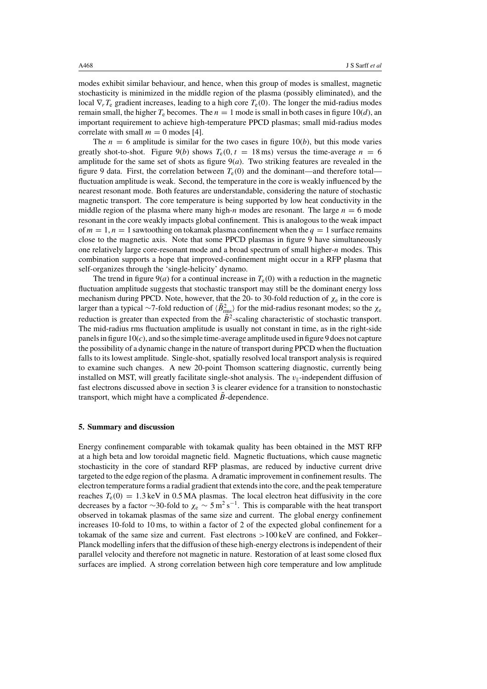modes exhibit similar behaviour, and hence, when this group of modes is smallest, magnetic stochasticity is minimized in the middle region of the plasma (possibly eliminated), and the local ∇*rT*<sup>e</sup> gradient increases, leading to a high core *T*e*(*0*)*. The longer the mid-radius modes remain small, the higher  $T_e$  becomes. The  $n = 1$  mode is small in both cases in figure 10(*d*), an important requirement to achieve high-temperature PPCD plasmas; small mid-radius modes correlate with small  $m = 0$  modes [4].

The  $n = 6$  amplitude is similar for the two cases in figure 10(*b*), but this mode varies greatly shot-to-shot. Figure 9(*b*) shows  $T_e(0, t = 18 \text{ ms})$  versus the time-average  $n = 6$ amplitude for the same set of shots as figure  $9(a)$ . Two striking features are revealed in the figure 9 data. First, the correlation between *T*e*(*0*)* and the dominant—and therefore total fluctuation amplitude is weak. Second, the temperature in the core is weakly influenced by the nearest resonant mode. Both features are understandable, considering the nature of stochastic magnetic transport. The core temperature is being supported by low heat conductivity in the middle region of the plasma where many high-*n* modes are resonant. The large  $n = 6$  mode resonant in the core weakly impacts global confinement. This is analogous to the weak impact of  $m = 1$ ,  $n = 1$  sawtoothing on tokamak plasma confinement when the  $q = 1$  surface remains close to the magnetic axis. Note that some PPCD plasmas in figure 9 have simultaneously one relatively large core-resonant mode and a broad spectrum of small higher-*n* modes. This combination supports a hope that improved-confinement might occur in a RFP plasma that self-organizes through the 'single-helicity' dynamo.

The trend in figure  $9(a)$  for a continual increase in  $T_e(0)$  with a reduction in the magnetic fluctuation amplitude suggests that stochastic transport may still be the dominant energy loss mechanism during PPCD. Note, however, that the 20- to 30-fold reduction of *χ*<sup>e</sup> in the core is larger than a typical ∼7-fold reduction of  $\langle B_{rms}^2 \rangle$  for the mid-radius resonant modes; so the *χ*e reduction is greater than expected from the  $\tilde{B}^2$ -scaling characteristic of stochastic transport. The mid-radius rms fluctuation amplitude is usually not constant in time, as in the right-side panels in figure 10(*c*), and so the simple time-average amplitude used in figure 9 does not capture the possibility of a dynamic change in the nature of transport during PPCD when the fluctuation falls to its lowest amplitude. Single-shot, spatially resolved local transport analysis is required to examine such changes. A new 20-point Thomson scattering diagnostic, currently being installed on MST, will greatly facilitate single-shot analysis. The  $v_{\parallel}$ -independent diffusion of fast electrons discussed above in section 3 is clearer evidence for a transition to nonstochastic transport, which might have a complicated *B*-dependence.

#### **5. Summary and discussion**

Energy confinement comparable with tokamak quality has been obtained in the MST RFP at a high beta and low toroidal magnetic field. Magnetic fluctuations, which cause magnetic stochasticity in the core of standard RFP plasmas, are reduced by inductive current drive targeted to the edge region of the plasma. A dramatic improvement in confinement results. The electron temperature forms a radial gradient that extends into the core, and the peak temperature reaches  $T_e(0) = 1.3 \text{ keV}$  in 0.5 MA plasmas. The local electron heat diffusivity in the core decreases by a factor ~30-fold to  $\chi_e \sim 5 \,\text{m}^2 \,\text{s}^{-1}$ . This is comparable with the heat transport observed in tokamak plasmas of the same size and current. The global energy confinement increases 10-fold to 10 ms, to within a factor of 2 of the expected global confinement for a tokamak of the same size and current. Fast electrons *>*100 keV are confined, and Fokker– Planck modelling infers that the diffusion of these high-energy electrons is independent of their parallel velocity and therefore not magnetic in nature. Restoration of at least some closed flux surfaces are implied. A strong correlation between high core temperature and low amplitude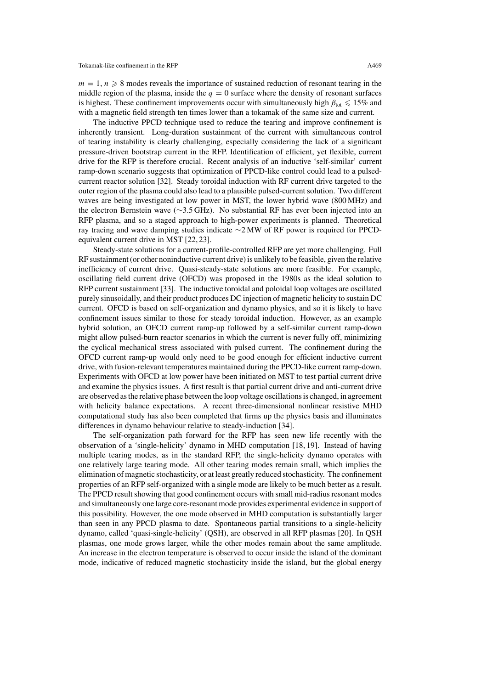$m = 1, n \geq 8$  modes reveals the importance of sustained reduction of resonant tearing in the middle region of the plasma, inside the  $q = 0$  surface where the density of resonant surfaces is highest. These confinement improvements occur with simultaneously high  $\beta_{\text{tot}} \leq 15\%$  and with a magnetic field strength ten times lower than a tokamak of the same size and current.

The inductive PPCD technique used to reduce the tearing and improve confinement is inherently transient. Long-duration sustainment of the current with simultaneous control of tearing instability is clearly challenging, especially considering the lack of a significant pressure-driven bootstrap current in the RFP. Identification of efficient, yet flexible, current drive for the RFP is therefore crucial. Recent analysis of an inductive 'self-similar' current ramp-down scenario suggests that optimization of PPCD-like control could lead to a pulsedcurrent reactor solution [32]. Steady toroidal induction with RF current drive targeted to the outer region of the plasma could also lead to a plausible pulsed-current solution. Two different waves are being investigated at low power in MST, the lower hybrid wave (800 MHz) and the electron Bernstein wave (∼3.5 GHz). No substantial RF has ever been injected into an RFP plasma, and so a staged approach to high-power experiments is planned. Theoretical ray tracing and wave damping studies indicate ∼2 MW of RF power is required for PPCDequivalent current drive in MST [22, 23].

Steady-state solutions for a current-profile-controlled RFP are yet more challenging. Full RF sustainment (or other noninductive current drive) is unlikely to be feasible, given the relative inefficiency of current drive. Quasi-steady-state solutions are more feasible. For example, oscillating field current drive (OFCD) was proposed in the 1980s as the ideal solution to RFP current sustainment [33]. The inductive toroidal and poloidal loop voltages are oscillated purely sinusoidally, and their product produces DC injection of magnetic helicity to sustain DC current. OFCD is based on self-organization and dynamo physics, and so it is likely to have confinement issues similar to those for steady toroidal induction. However, as an example hybrid solution, an OFCD current ramp-up followed by a self-similar current ramp-down might allow pulsed-burn reactor scenarios in which the current is never fully off, minimizing the cyclical mechanical stress associated with pulsed current. The confinement during the OFCD current ramp-up would only need to be good enough for efficient inductive current drive, with fusion-relevant temperatures maintained during the PPCD-like current ramp-down. Experiments with OFCD at low power have been initiated on MST to test partial current drive and examine the physics issues. A first result is that partial current drive and anti-current drive are observed as the relative phase between the loop voltage oscillations is changed, in agreement with helicity balance expectations. A recent three-dimensional nonlinear resistive MHD computational study has also been completed that firms up the physics basis and illuminates differences in dynamo behaviour relative to steady-induction [34].

The self-organization path forward for the RFP has seen new life recently with the observation of a 'single-helicity' dynamo in MHD computation [18, 19]. Instead of having multiple tearing modes, as in the standard RFP, the single-helicity dynamo operates with one relatively large tearing mode. All other tearing modes remain small, which implies the elimination of magnetic stochasticity, or at least greatly reduced stochasticity. The confinement properties of an RFP self-organized with a single mode are likely to be much better as a result. The PPCD result showing that good confinement occurs with small mid-radius resonant modes and simultaneously one large core-resonant mode provides experimental evidence in support of this possibility. However, the one mode observed in MHD computation is substantially larger than seen in any PPCD plasma to date. Spontaneous partial transitions to a single-helicity dynamo, called 'quasi-single-helicity' (QSH), are observed in all RFP plasmas [20]. In QSH plasmas, one mode grows larger, while the other modes remain about the same amplitude. An increase in the electron temperature is observed to occur inside the island of the dominant mode, indicative of reduced magnetic stochasticity inside the island, but the global energy